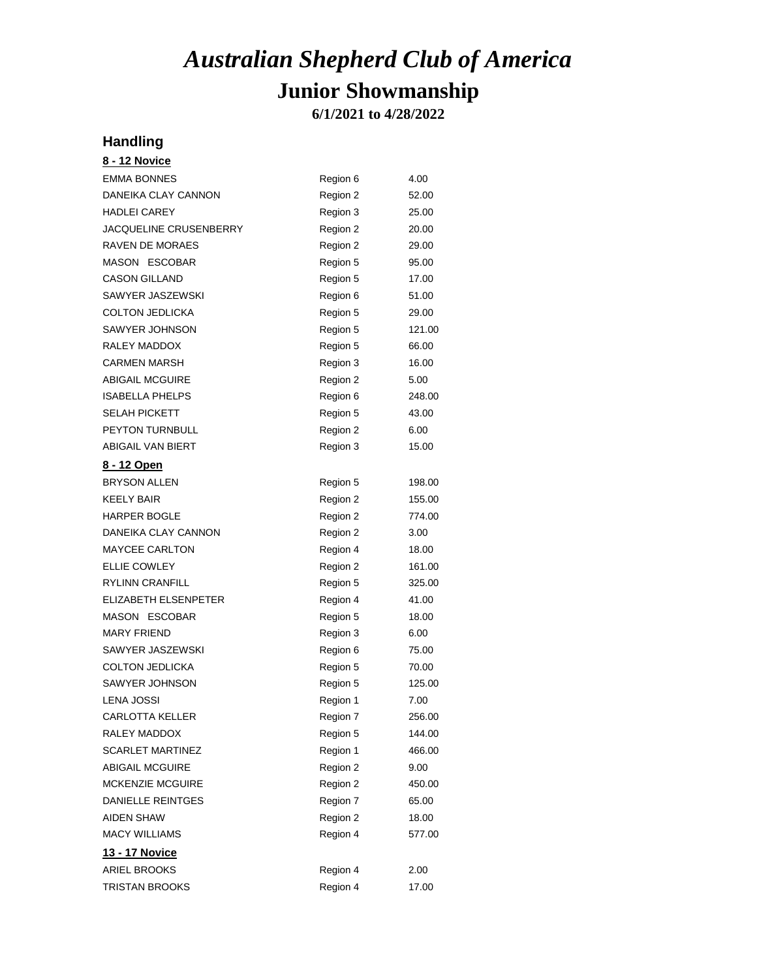**6/1/2021 to 4/28/2022**

#### **Handling**

| <u>8 - 12 Novice</u>    |          |        |
|-------------------------|----------|--------|
| <b>EMMA BONNES</b>      | Region 6 | 4.00   |
| DANEIKA CLAY CANNON     | Region 2 | 52.00  |
| <b>HADLEI CAREY</b>     | Region 3 | 25.00  |
| JACQUELINE CRUSENBERRY  | Region 2 | 20.00  |
| RAVEN DE MORAES         | Region 2 | 29.00  |
| MASON ESCOBAR           | Region 5 | 95.00  |
| <b>CASON GILLAND</b>    | Region 5 | 17.00  |
| SAWYER JASZEWSKI        | Region 6 | 51.00  |
| <b>COLTON JEDLICKA</b>  | Region 5 | 29.00  |
| SAWYER JOHNSON          | Region 5 | 121.00 |
| RALEY MADDOX            | Region 5 | 66.00  |
| <b>CARMEN MARSH</b>     | Region 3 | 16.00  |
| <b>ABIGAIL MCGUIRE</b>  | Region 2 | 5.00   |
| <b>ISABELLA PHELPS</b>  | Region 6 | 248.00 |
| <b>SELAH PICKETT</b>    | Region 5 | 43.00  |
| <b>PEYTON TURNBULL</b>  | Region 2 | 6.00   |
| ABIGAIL VAN BIERT       | Region 3 | 15.00  |
| <u>8 - 12 Open</u>      |          |        |
| <b>BRYSON ALLEN</b>     | Region 5 | 198.00 |
| <b>KEELY BAIR</b>       | Region 2 | 155.00 |
| HARPER BOGLE            | Region 2 | 774.00 |
| DANEIKA CLAY CANNON     | Region 2 | 3.00   |
| <b>MAYCEE CARLTON</b>   | Region 4 | 18.00  |
| <b>ELLIE COWLEY</b>     | Region 2 | 161.00 |
| <b>RYLINN CRANFILL</b>  | Region 5 | 325.00 |
| ELIZABETH ELSENPETER    | Region 4 | 41.00  |
| MASON ESCOBAR           | Region 5 | 18.00  |
| <b>MARY FRIEND</b>      | Region 3 | 6.00   |
| SAWYER JASZEWSKI        | Region 6 | 75.00  |
| <b>COLTON JEDLICKA</b>  | Region 5 | 70.00  |
| SAWYER JOHNSON          | Region 5 | 125.00 |
| LENA JOSSI              | Region 1 | 7.00   |
| <b>CARLOTTA KELLER</b>  | Region 7 | 256.00 |
| RALEY MADDOX            | Region 5 | 144.00 |
| <b>SCARLET MARTINEZ</b> | Region 1 | 466.00 |
| <b>ABIGAIL MCGUIRE</b>  | Region 2 | 9.00   |
| <b>MCKENZIE MCGUIRE</b> | Region 2 | 450.00 |
| DANIELLE REINTGES       | Region 7 | 65.00  |
| <b>AIDEN SHAW</b>       | Region 2 | 18.00  |
| <b>MACY WILLIAMS</b>    | Region 4 | 577.00 |
| <u> 13 - 17 Novice</u>  |          |        |
| <b>ARIEL BROOKS</b>     | Region 4 | 2.00   |
| TRISTAN BROOKS          | Region 4 | 17.00  |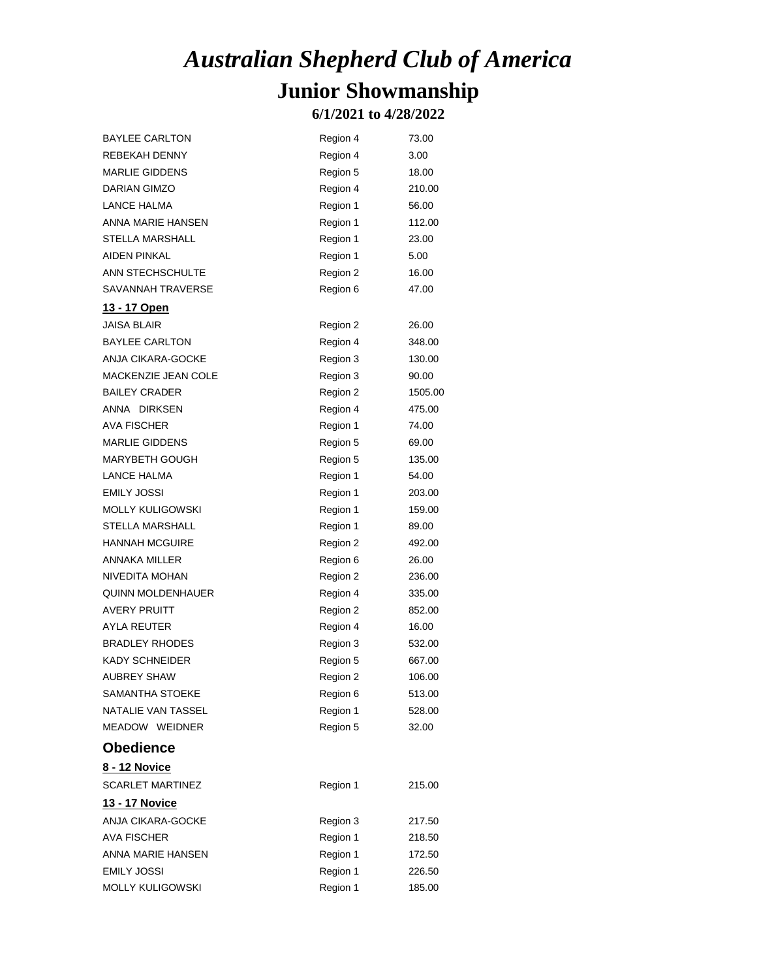#### **6/1/2021 to 4/28/2022**

| <b>BAYLEE CARLTON</b>    | Region 4 | 73.00   |
|--------------------------|----------|---------|
| <b>REBEKAH DENNY</b>     | Region 4 | 3.00    |
| <b>MARLIE GIDDENS</b>    | Region 5 | 18.00   |
| <b>DARIAN GIMZO</b>      | Region 4 | 210.00  |
| LANCE HALMA              | Region 1 | 56.00   |
| ANNA MARIE HANSEN        | Region 1 | 112.00  |
| STELLA MARSHALL          | Region 1 | 23.00   |
| <b>AIDEN PINKAL</b>      | Region 1 | 5.00    |
| ANN STECHSCHULTE         | Region 2 | 16.00   |
| SAVANNAH TRAVERSE        | Region 6 | 47.00   |
| <u> 13 - 17 Open</u>     |          |         |
| <b>JAISA BLAIR</b>       | Region 2 | 26.00   |
| <b>BAYLEE CARLTON</b>    | Region 4 | 348.00  |
| ANJA CIKARA-GOCKE        | Region 3 | 130.00  |
| MACKENZIE JEAN COLE      | Region 3 | 90.00   |
| <b>BAILEY CRADER</b>     | Region 2 | 1505.00 |
| ANNA DIRKSEN             | Region 4 | 475.00  |
| AVA FISCHER              | Region 1 | 74.00   |
| <b>MARLIE GIDDENS</b>    | Region 5 | 69.00   |
| <b>MARYBETH GOUGH</b>    | Region 5 | 135.00  |
| LANCE HALMA              | Region 1 | 54.00   |
| <b>EMILY JOSSI</b>       | Region 1 | 203.00  |
| <b>MOLLY KULIGOWSKI</b>  | Region 1 | 159.00  |
| <b>STELLA MARSHALL</b>   | Region 1 | 89.00   |
| <b>HANNAH MCGUIRE</b>    | Region 2 | 492.00  |
| ANNAKA MILLER            | Region 6 | 26.00   |
| NIVEDITA MOHAN           | Region 2 | 236.00  |
| <b>QUINN MOLDENHAUER</b> | Region 4 | 335.00  |
| AVERY PRUITT             | Region 2 | 852.00  |
| AYLA REUTER              | Region 4 | 16.00   |
| <b>BRADLEY RHODES</b>    | Region 3 | 532.00  |
| <b>KADY SCHNEIDER</b>    | Region 5 | 667.00  |
| <b>AUBREY SHAW</b>       | Region 2 | 106.00  |
| SAMANTHA STOEKE          | Region 6 | 513.00  |
| NATALIE VAN TASSEL       | Region 1 | 528.00  |
| MEADOW WEIDNER           | Region 5 | 32.00   |
| <b>Obedience</b>         |          |         |
| 8 - 12 Novice            |          |         |
| <b>SCARLET MARTINEZ</b>  | Region 1 | 215.00  |
| <b>13 - 17 Novice</b>    |          |         |
| ANJA CIKARA-GOCKE        | Region 3 | 217.50  |
| <b>AVA FISCHER</b>       | Region 1 | 218.50  |
| ANNA MARIE HANSEN        | Region 1 | 172.50  |
| <b>EMILY JOSSI</b>       | Region 1 | 226.50  |
| MOLLY KULIGOWSKI         | Region 1 | 185.00  |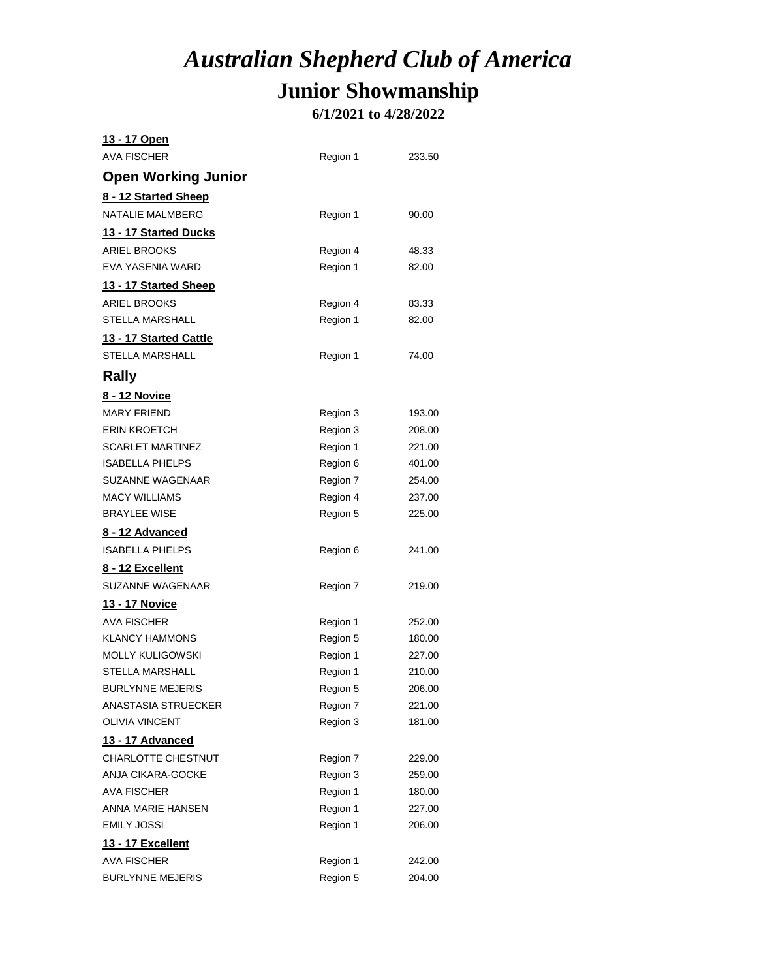### **6/1/2021 to 4/28/2022**

| 13 - 17 Open                 |          |        |
|------------------------------|----------|--------|
| <b>AVA FISCHER</b>           | Region 1 | 233.50 |
| <b>Open Working Junior</b>   |          |        |
| 8 - 12 Started Sheep         |          |        |
| NATALIE MALMBERG             | Region 1 | 90.00  |
| <u>13 - 17 Started Ducks</u> |          |        |
| <b>ARIEL BROOKS</b>          | Region 4 | 48.33  |
| EVA YASENIA WARD             | Region 1 | 82.00  |
| 13 - 17 Started Sheep        |          |        |
| <b>ARIEL BROOKS</b>          | Region 4 | 83.33  |
| <b>STELLA MARSHALL</b>       | Region 1 | 82.00  |
| 13 - 17 Started Cattle       |          |        |
| <b>STELLA MARSHALL</b>       | Region 1 | 74.00  |
| <b>Rally</b>                 |          |        |
| <u>8 - 12 Novice</u>         |          |        |
| <b>MARY FRIEND</b>           | Region 3 | 193.00 |
| <b>ERIN KROETCH</b>          | Region 3 | 208.00 |
| <b>SCARLET MARTINEZ</b>      | Region 1 | 221.00 |
| <b>ISABELLA PHELPS</b>       | Region 6 | 401.00 |
| SUZANNE WAGENAAR             | Region 7 | 254.00 |
| <b>MACY WILLIAMS</b>         | Region 4 | 237.00 |
| <b>BRAYLEE WISE</b>          | Region 5 | 225.00 |
| <u>8 - 12 Advanced</u>       |          |        |
| <b>ISABELLA PHELPS</b>       | Region 6 | 241.00 |
| <u>8 - 12 Excellent</u>      |          |        |
| SUZANNE WAGENAAR             | Region 7 | 219.00 |
| <u> 13 - 17 Novice</u>       |          |        |
| AVA FISCHER                  | Region 1 | 252.00 |
| <b>KLANCY HAMMONS</b>        | Region 5 | 180.00 |
| <b>MOLLY KULIGOWSKI</b>      | Region 1 | 227.00 |
| <b>STELLA MARSHALL</b>       | Region 1 | 210.00 |
| <b>BURLYNNE MEJERIS</b>      | Region 5 | 206.00 |
| ANASTASIA STRUECKER          | Region 7 | 221.00 |
| <b>OLIVIA VINCENT</b>        | Region 3 | 181.00 |
| 13 - 17 Advanced             |          |        |
| CHARLOTTE CHESTNUT           | Region 7 | 229.00 |
| ANJA CIKARA-GOCKE            | Region 3 | 259.00 |
| AVA FISCHER                  | Region 1 | 180.00 |
| ANNA MARIE HANSEN            | Region 1 | 227.00 |
| <b>EMILY JOSSI</b>           | Region 1 | 206.00 |
| <u> 13 - 17 Excellent</u>    |          |        |
| AVA FISCHER                  | Region 1 | 242.00 |
| <b>BURLYNNE MEJERIS</b>      | Region 5 | 204.00 |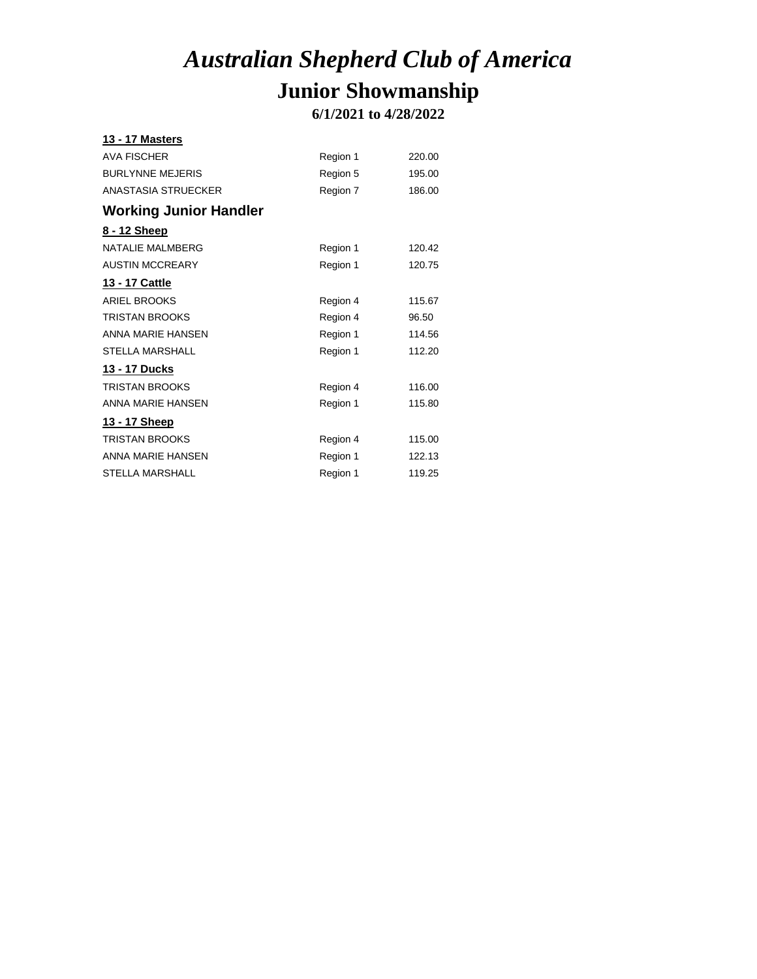**6/1/2021 to 4/28/2022**

| <b>13 - 17 Masters</b>        |          |        |
|-------------------------------|----------|--------|
| <b>AVA FISCHER</b>            | Region 1 | 220.00 |
| <b>BURLYNNE MEJERIS</b>       | Region 5 | 195.00 |
| <b>ANASTASIA STRUECKER</b>    | Region 7 | 186.00 |
| <b>Working Junior Handler</b> |          |        |
| 8 - 12 Sheep                  |          |        |
| <b>NATALIE MALMBERG</b>       | Region 1 | 120.42 |
| <b>AUSTIN MCCREARY</b>        | Region 1 | 120.75 |
| <u> 13 - 17 Cattle</u>        |          |        |
| <b>ARIEL BROOKS</b>           | Region 4 | 115.67 |
| <b>TRISTAN BROOKS</b>         | Region 4 | 96.50  |
| ANNA MARIE HANSEN             | Region 1 | 114.56 |
| <b>STELLA MARSHALL</b>        | Region 1 | 112.20 |
| 13 - 17 Ducks                 |          |        |
| <b>TRISTAN BROOKS</b>         | Region 4 | 116.00 |
| <b>ANNA MARIE HANSEN</b>      | Region 1 | 115.80 |
| <u> 13 - 17 Sheep</u>         |          |        |
| <b>TRISTAN BROOKS</b>         | Region 4 | 115.00 |
| ANNA MARIE HANSEN             | Region 1 | 122.13 |
| STELLA MARSHALL               | Region 1 | 119.25 |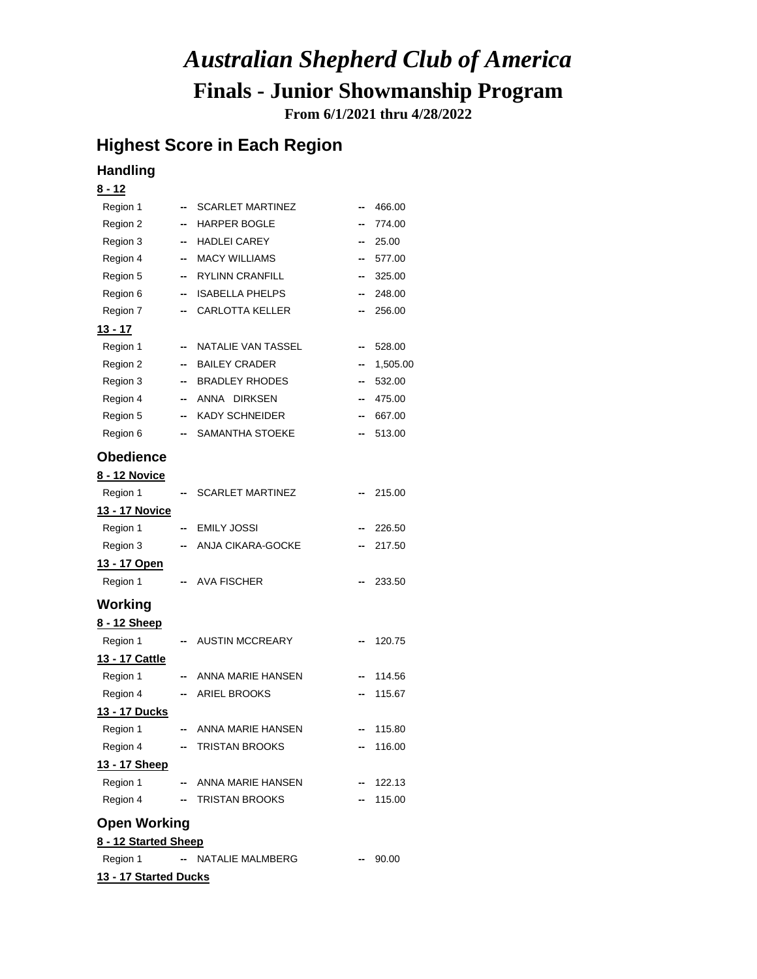**From 6/1/2021 thru 4/28/2022**

#### **Highest Score in Each Region**

#### **Handling**

**13 - 17 Started Ducks**

| <u>8 - 12</u>         |    |                             |    |          |
|-----------------------|----|-----------------------------|----|----------|
| Region 1              |    | <b>SCARLET MARTINEZ</b>     | -- | 466.00   |
| Region 2              | -- | <b>HARPER BOGLE</b>         |    | 774.00   |
| Region 3              | −  | HADLEI CAREY                | ⊷  | 25.00    |
| Region 4              | −  | <b>MACY WILLIAMS</b>        |    | 577.00   |
| Region 5              | ⊷  | RYLINN CRANFILL             | -- | 325.00   |
| Region 6              | -- | <b>ISABELLA PHELPS</b>      |    | 248.00   |
| Region 7              | -- | <b>CARLOTTA KELLER</b>      |    | 256.00   |
| <u> 13 - 17</u>       |    |                             |    |          |
| Region 1              | ۰. | NATALIE VAN TASSEL          | -- | 528.00   |
| Region 2              | ۰. | <b>BAILEY CRADER</b>        | ⊷  | 1,505.00 |
| Region 3              |    | -- BRADLEY RHODES           |    | 532.00   |
| Region 4              | -- | ANNA DIRKSEN                |    | 475.00   |
| Region 5              | −  | <b>KADY SCHNEIDER</b>       | -- | 667.00   |
| Region 6              | -- | SAMANTHA STOEKE             |    | 513.00   |
| Obedience             |    |                             |    |          |
| 8 - 12 Novice         |    |                             |    |          |
| Region 1              | −  | <b>SCARLET MARTINEZ</b>     |    | 215.00   |
| <u>13 - 17 Novice</u> |    |                             |    |          |
| Region 1              | −  | <b>EMILY JOSSI</b>          |    | 226.50   |
| Region 3              | -- | ANJA CIKARA-GOCKE           |    | 217.50   |
| <u> 13 - 17 Open</u>  |    |                             |    |          |
| Region 1              |    | <b>AVA FISCHER</b>          |    | 233.50   |
| Working               |    |                             |    |          |
| 8 - 12 Sheep          |    |                             |    |          |
| Region 1              |    | <b>AUSTIN MCCREARY</b>      |    | 120.75   |
| 13 - 17 Cattle        |    |                             |    |          |
| Region 1              |    | -- ANNA MARIE HANSEN        |    | 114.56   |
| Region 4              |    | <b>ARIEL BROOKS</b>         |    | 115.67   |
| <u> 13 - 17 Ducks</u> |    |                             |    |          |
| Region 1              | -- | ANNA MARIE HANSEN           |    | 115.80   |
| Region 4              |    | - TRISTAN BROOKS            |    | 116.00   |
| 13 - 17 Sheep         |    |                             |    |          |
| Region 1              |    | -- ANNA MARIE HANSEN        |    | 122.13   |
| Region 4              |    | - TRISTAN BROOKS            |    | 115.00   |
| <b>Open Working</b>   |    |                             |    |          |
| 8 - 12 Started Sheep  |    |                             |    |          |
|                       |    | Region 1 - NATALIE MALMBERG |    | $-90.00$ |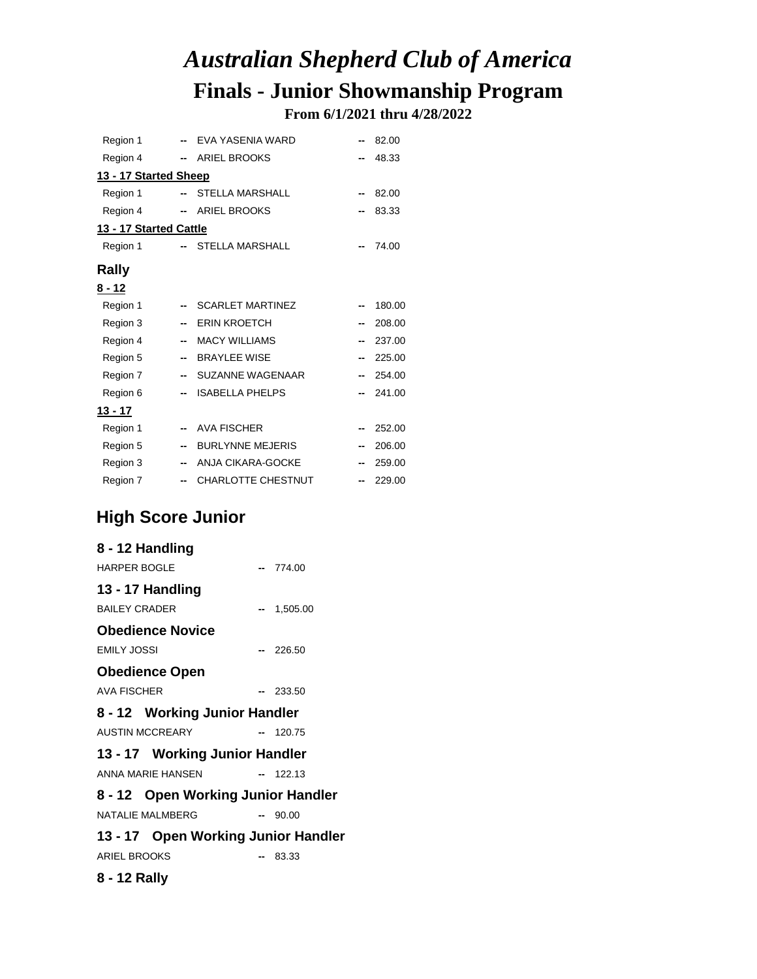**From 6/1/2021 thru 4/28/2022**

| Region 1               |     | -- EVA YASENIA WARD       |                          | 82.00  |
|------------------------|-----|---------------------------|--------------------------|--------|
| Region 4               |     | -- ARIEL BROOKS           |                          | 48.33  |
| 13 - 17 Started Sheep  |     |                           |                          |        |
| Region 1               | $-$ | STELLA MARSHALL           |                          | 82.00  |
| Region 4               |     | - ARIEL BROOKS            |                          | 83.33  |
| 13 - 17 Started Cattle |     |                           |                          |        |
| Region 1               | $-$ | <b>STELLA MARSHALL</b>    |                          | 74.00  |
| Rally                  |     |                           |                          |        |
| 8 - 12                 |     |                           |                          |        |
| Region 1               |     | <b>SCARLET MARTINEZ</b>   |                          | 180.00 |
| Region 3               | --  | <b>ERIN KROETCH</b>       |                          | 208.00 |
| Region 4               | --  | <b>MACY WILLIAMS</b>      | $\overline{\phantom{a}}$ | 237.00 |
| Region 5               | --  | <b>BRAYLEE WISE</b>       |                          | 225.00 |
| Region 7               | −   | SUZANNE WAGENAAR          |                          | 254.00 |
| Region 6               | --  | <b>ISABELLA PHELPS</b>    |                          | 241.00 |
| <u> 13 - 17</u>        |     |                           |                          |        |
| Region 1               | ۰.  | <b>AVA FISCHER</b>        |                          | 252.00 |
| Region 5               | --  | <b>BURLYNNE MEJERIS</b>   | --                       | 206.00 |
| Region 3               | --  | ANJA CIKARA-GOCKE         |                          | 259.00 |
| Region 7               | --  | <b>CHARLOTTE CHESTNUT</b> |                          | 229.00 |

### **High Score Junior**

| 8 - 12 Handling                     |             |
|-------------------------------------|-------------|
| <b>HARPER BOGLE</b>                 | $-774.00$   |
| 13 - 17 Handling                    |             |
| <b>BAILEY CRADER</b>                | $-1,505.00$ |
| <b>Obedience Novice</b>             |             |
| <b>EMILY JOSSI</b>                  | $-226.50$   |
| <b>Obedience Open</b>               |             |
| <b>AVA FISCHER</b>                  | $-233.50$   |
| 8 - 12 Working Junior Handler       |             |
| <b>AUSTIN MCCREARY</b>              | $-120.75$   |
| 13 - 17 Working Junior Handler      |             |
| ANNA MARIE HANSEN                   | $-122.13$   |
| 8 - 12 Open Working Junior Handler  |             |
| <b>NATALIE MALMBERG</b>             | $-90.00$    |
| 13 - 17 Open Working Junior Handler |             |
| <b>ARIEL BROOKS</b>                 | -- 83.33    |

#### **8 - 12 Rally**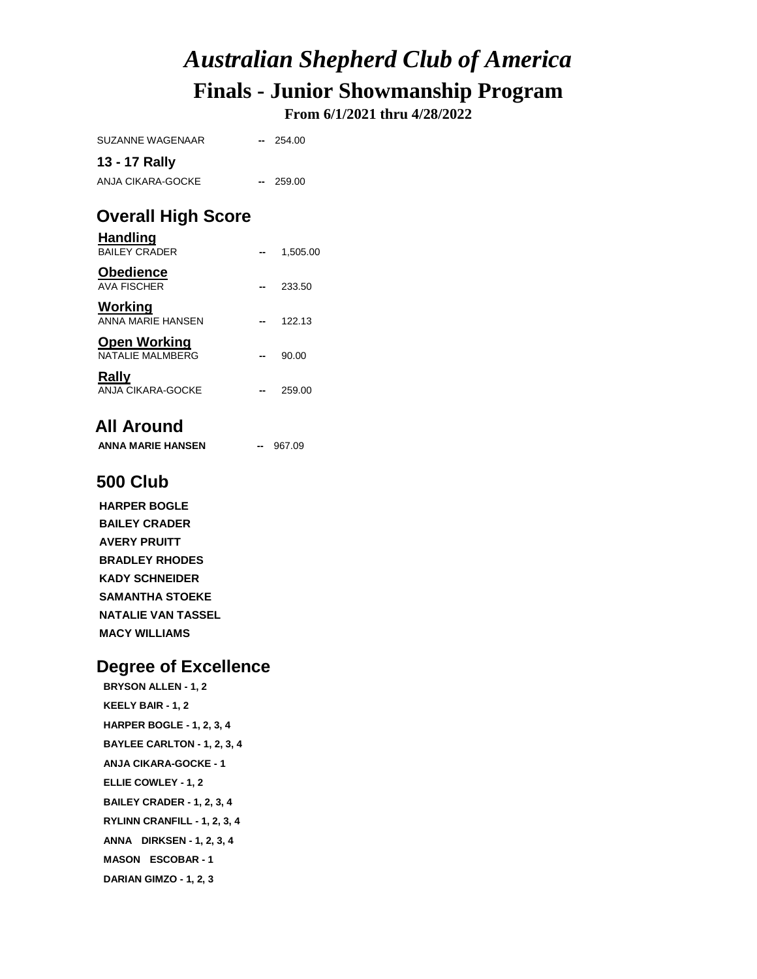**From 6/1/2021 thru 4/28/2022**

| <b>Overall High Score</b><br>Uondlina |                          |        |  |  |
|---------------------------------------|--------------------------|--------|--|--|
| 13 - 17 Rally<br>ANJA CIKARA-GOCKE    | $\overline{\phantom{a}}$ | 259.00 |  |  |
|                                       |                          |        |  |  |
| SUZANNE WAGENAAR                      | $-$                      | 254.00 |  |  |
|                                       |                          |        |  |  |

| паниши<br><b>BAILEY CRADER</b>          | 1.505.00 |
|-----------------------------------------|----------|
| <b>Obedience</b><br><b>AVA FISCHER</b>  | 233.50   |
| Working<br>ANNA MARIF HANSEN            | 122.13   |
| <b>Open Working</b><br>NATALIF MALMBERG | 90.00    |
| Rally<br>ANJA CIKARA-GOCKE              | 259.00   |

#### **All Around**

**ANNA MARIE HANSEN --** 967.09

#### **500 Club**

**HARPER BOGLE BAILEY CRADER AVERY PRUITT BRADLEY RHODES KADY SCHNEIDER SAMANTHA STOEKE NATALIE VAN TASSEL MACY WILLIAMS**

#### **Degree of Excellence**

**BRYSON ALLEN - 1, 2 KEELY BAIR - 1, 2 HARPER BOGLE - 1, 2, 3, 4 BAYLEE CARLTON - 1, 2, 3, 4 ANJA CIKARA-GOCKE - 1 ELLIE COWLEY - 1, 2 BAILEY CRADER - 1, 2, 3, 4 RYLINN CRANFILL - 1, 2, 3, 4 ANNA DIRKSEN - 1, 2, 3, 4 MASON ESCOBAR - 1 DARIAN GIMZO - 1, 2, 3**